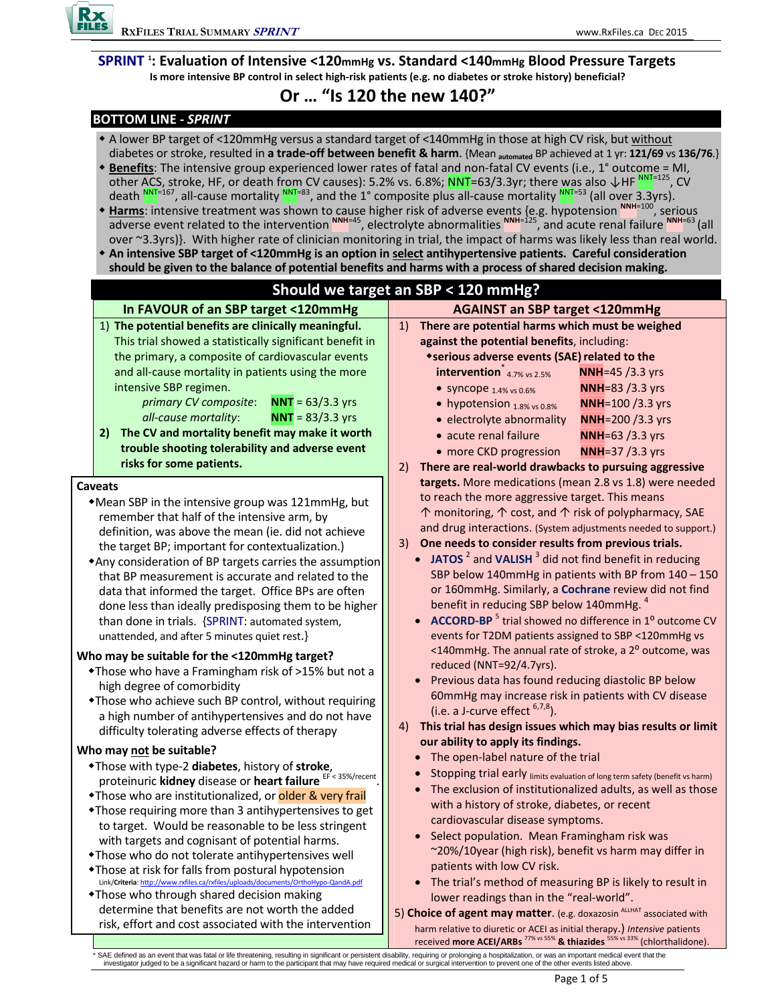**SPRINT <sup>1</sup> : Evaluation of Intensive <120mmHg vs. Standard <140mmHg Blood Pressure Targets** Is more intensive BP control in select high-risk patients (e.g. no diabetes or stroke history) beneficial?

# **Or … "Is 120 the new 140?"**

# **BOTTOM LINE ‐** *SPRINT*

- \* A lower BP target of <120mmHg versus a standard target of <140mmHg in those at high CV risk, but without diabetes or stroke, resulted in **a trade‐off between benefit & harm**. {Mean **automated** BP achieved at 1 yr: **121/69** vs **136/76**.}
- **Benefits**: The intensive group experienced lower rates of fatal and non‐fatal CV events (i.e., 1° outcome = MI, other ACS, stroke, HF, or death from CV causes): 5.2% vs. 6.8%; NNT=63/3.3yr; there was also ↓HF NNT=125, CV death  $^{NNT=167}$ , all-cause mortality  $^{NNT=83}$ , and the 1° composite plus all-cause mortality  $^{NNT=53}$  (all over 3.3yrs).
- **Harms**: intensive treatment was shown to cause higher risk of adverse events {e.g. hypotension **NNH**=100, serious adverse event related to the intervention **NNH**=45, electrolyte abnormalities **NNH**=125, and acute renal failure **NNH**=63 (all over ~3.3yrs)}. With higher rate of clinician monitoring in trial, the impact of harms was likely less than real world.
- **An intensive SBP target of <120mmHg is an option in select antihypertensive patients. Careful consideration** should be given to the balance of potential benefits and harms with a process of shared decision making.



\* SAE defined as an event that was fatal or life threatening, resulting in significant or persistent disability, requiring or prolonging a hospitalization, or was an important medical event that the<br>investigator judged to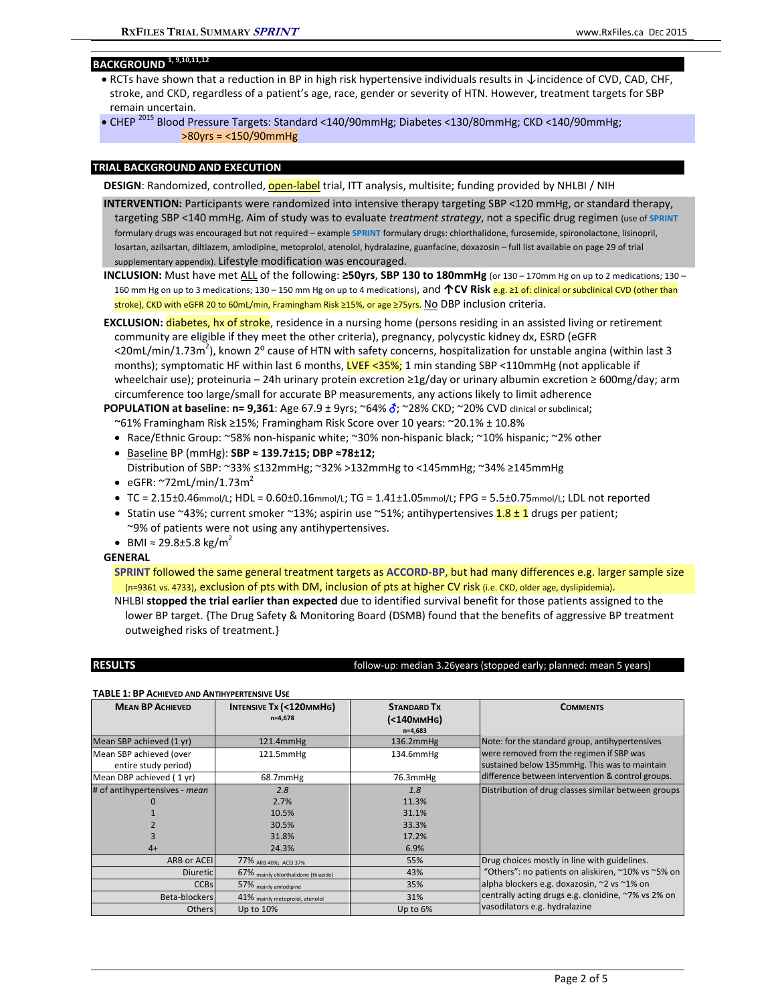## **BACKGROUND 1, 9,10,11,12**

- RCTs have shown that a reduction in BP in high risk hypertensive individuals results in ↓incidence of CVD, CAD, CHF, stroke, and CKD, regardless of a patient's age, race, gender or severity of HTN. However, treatment targets for SBP remain uncertain.
- CHEP <sup>2015</sup> Blood Pressure Targets: Standard <140/90mmHg; Diabetes <130/80mmHg; CKD <140/90mmHg; >80yrs = <150/90mmHg

## **TRIAL BACKGROUND AND EXECUTION**

- **DESIGN**: Randomized, controlled, **open-label** trial, ITT analysis, multisite; funding provided by NHLBI / NIH
- **INTERVENTION:** Participants were randomized into intensive therapy targeting SBP <120 mmHg, or standard therapy, targeting SBP <140 mmHg. Aim of study was to evaluate *treatment strategy*, not a specific drug regimen (use of **SPRINT** formulary drugs was encouraged but not required – example **SPRINT** formulary drugs: chlorthalidone, furosemide, spironolactone, lisinopril, losartan, azilsartan, diltiazem, amlodipine, metoprolol, atenolol, hydralazine, guanfacine, doxazosin – full list available on page 29 of trial supplementary appendix). Lifestyle modification was encouraged.
- **INCLUSION:** Must have met ALL of the following: **≥50yrs**, **SBP 130 to 180mmHg** (or 130 170mm Hg on up to 2 medications; 130 160 mm Hg on up to 3 medications; 130 – 150 mm Hg on up to 4 medications), and **↑CV Risk** e.g. ≥1 of: clinical or subclinical CVD (other than stroke), CKD with eGFR 20 to 60mL/min, Framingham Risk ≥15%, or age ≥75yrs. No DBP inclusion criteria.

**EXCLUSION:** diabetes, hx of stroke, residence in a nursing home (persons residing in an assisted living or retirement community are eligible if they meet the other criteria), pregnancy, polycystic kidney dx, ESRD (eGFR <20mL/min/1.73m<sup>2</sup>), known 2<sup>o</sup> cause of HTN with safety concerns, hospitalization for unstable angina (within last 3 months); symptomatic HF within last 6 months, LVEF <35%; 1 min standing SBP <110mmHg (not applicable if wheelchair use); proteinuria – 24h urinary protein excretion ≥1g/day or urinary albumin excretion ≥ 600mg/day; arm circumference too large/small for accurate BP measurements, any actions likely to limit adherence

**POPULATION at baseline**: **n= 9,361**: Age 67.9 ± 9yrs; ~64% ; ~28% CKD; ~20% CVD clinical or subclinical; ~61% Framingham Risk ≥15%; Framingham Risk Score over 10 years: ~20.1% ± 10.8%

- Race/Ethnic Group: ~58% non-hispanic white; ~30% non-hispanic black; ~10% hispanic; ~2% other
- Baseline BP (mmHg): **SBP ≈ 139.7±15; DBP ≈78±12;**
- Distribution of SBP: ~33% ≤132mmHg; ~32% >132mmHg to <145mmHg; ~34% ≥145mmHg  $\bullet$  eGFR: ~72mL/min/1.73m<sup>2</sup>
- $\bullet$  TC = 2.15±0.46mmol/L; HDL = 0.60±0.16mmol/L; TG = 1.41±1.05mmol/L; FPG = 5.5±0.75mmol/L; LDL not reported
- Statin use ~43%; current smoker ~13%; aspirin use ~51%; antihypertensives  $1.8 \pm 1$  drugs per patient; ~9% of patients were not using any antihypertensives.
- BMI ≈ 29.8±5.8 kg/m<sup>2</sup>

### **GENERAL**

**SPRINT** followed the same general treatment targets as **ACCORD‐BP**, but had many differences e.g. larger sample size (n=9361 vs. 4733), exclusion of pts with DM, inclusion of pts at higher CV risk (i.e. CKD, older age, dyslipidemia).

NHLBI **stopped the trial earlier than expected** due to identified survival benefit for those patients assigned to the lower BP target. {The Drug Safety & Monitoring Board (DSMB) found that the benefits of aggressive BP treatment outweighed risks of treatment.}

### **RESULTS** follow‐up: median 3.26years (stopped early; planned: mean 5 years)

#### **TABLE 1: BP ACHIEVED AND ANTIHYPERTENSIVE USE**

| <b>MEAN BP ACHIEVED</b>                         | INTENSIVE Tx (<120MMHG)<br>$n=4,678$ | <b>STANDARD TX</b><br>(<140 <sub>MM</sub> H <sub>G</sub> )<br>$n=4,683$ | <b>COMMENTS</b>                                                                           |  |  |  |  |  |
|-------------------------------------------------|--------------------------------------|-------------------------------------------------------------------------|-------------------------------------------------------------------------------------------|--|--|--|--|--|
| Mean SBP achieved (1 yr)                        | 121.4mmHg                            | $136.2mm$ Hg                                                            | Note: for the standard group, antihypertensives                                           |  |  |  |  |  |
| Mean SBP achieved (over<br>entire study period) | 121.5mmHg                            | 134.6mmHg                                                               | were removed from the regimen if SBP was<br>sustained below 135mmHg. This was to maintain |  |  |  |  |  |
| Mean DBP achieved (1 yr)                        | 68.7mmHg                             | 76.3mmHg                                                                | difference between intervention & control groups.                                         |  |  |  |  |  |
| # of antihypertensives - mean                   | 2.8                                  | 1.8                                                                     | Distribution of drug classes similar between groups                                       |  |  |  |  |  |
|                                                 | 2.7%                                 | 11.3%                                                                   |                                                                                           |  |  |  |  |  |
|                                                 | 10.5%                                | 31.1%                                                                   |                                                                                           |  |  |  |  |  |
|                                                 | 30.5%                                | 33.3%                                                                   |                                                                                           |  |  |  |  |  |
|                                                 | 31.8%                                | 17.2%                                                                   |                                                                                           |  |  |  |  |  |
| $4+$                                            | 24.3%                                | 6.9%                                                                    |                                                                                           |  |  |  |  |  |
| ARB or ACEI                                     | 77% ARB 40%; ACEI 37%                | 55%                                                                     | Drug choices mostly in line with guidelines.                                              |  |  |  |  |  |
| <b>Diuretic</b>                                 | 67% mainly chlorthalidone (thiazide) | 43%                                                                     | "Others": no patients on aliskiren, ~10% vs ~5% on                                        |  |  |  |  |  |
| <b>CCBs</b>                                     | 57% mainly amlodipine                | 35%                                                                     | alpha blockers e.g. doxazosin, ~2 vs ~1% on                                               |  |  |  |  |  |
| Beta-blockers                                   | 41% mainly metoprolol, atenolol      | 31%                                                                     | centrally acting drugs e.g. clonidine, ~7% vs 2% on                                       |  |  |  |  |  |
| <b>Others</b>                                   | Up to 10%                            | Up to 6%                                                                | vasodilators e.g. hydralazine                                                             |  |  |  |  |  |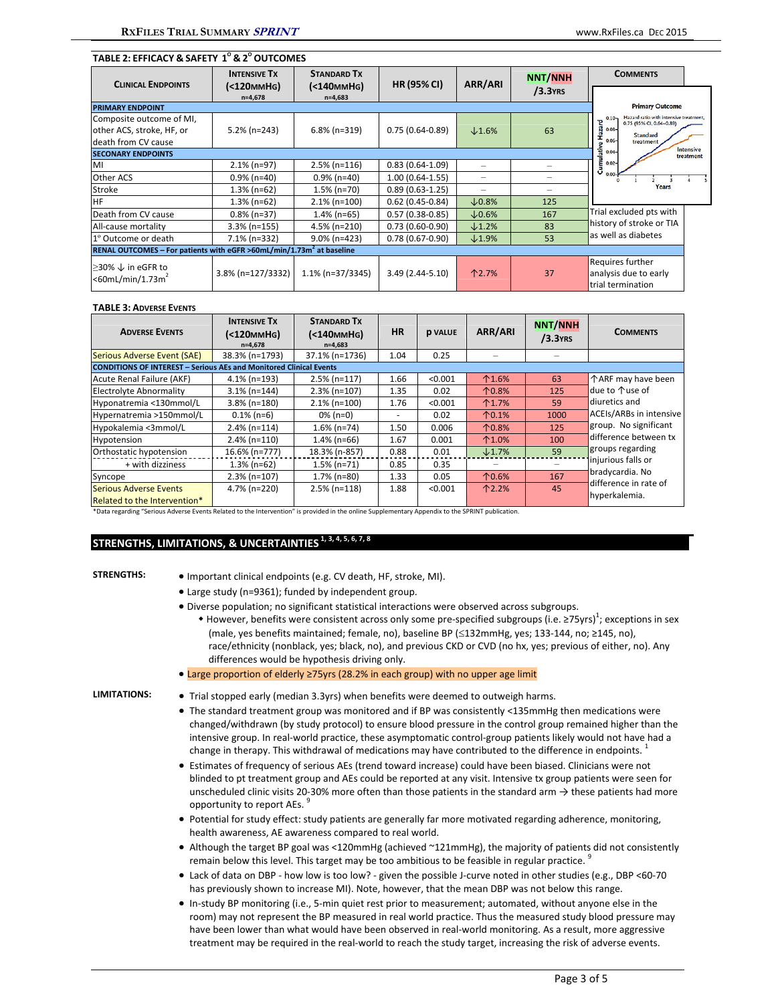## **TABLE 2: EFFICACY & SAFETY 1 <sup>O</sup> & 2 <sup>O</sup> OUTCOMES**

| <b>CLINICAL ENDPOINTS</b>                                                        | <b>INTENSIVE TX</b>    | <b>STANDARD TX</b>                                | <b>HR (95% CI)</b>  | ARR/ARI                  | <b>NNT/NNH</b> | <b>COMMENTS</b>                                                                |                        |
|----------------------------------------------------------------------------------|------------------------|---------------------------------------------------|---------------------|--------------------------|----------------|--------------------------------------------------------------------------------|------------------------|
|                                                                                  | (<br>$n=4,678$         | (<140 <sub>MM</sub> H <sub>G</sub> )<br>$n=4,683$ |                     |                          | $/3.3$ YRS     |                                                                                |                        |
| <b>PRIMARY ENDPOINT</b>                                                          | <b>Primary Outcome</b> |                                                   |                     |                          |                |                                                                                |                        |
| Composite outcome of MI,                                                         |                        |                                                   |                     |                          |                | Hazard ratio with intensive treatment,<br>$0.10 -$<br>0.75 (95% CI, 0.64-0.89) |                        |
| other ACS, stroke, HF, or                                                        | $5.2\%$ (n=243)        | $6.8\%$ (n=319)                                   | $0.75(0.64-0.89)$   | $\times$ 1.6%            | 63             | $\frac{1}{8}$ 0.08-<br><b>Standard</b>                                         |                        |
| death from CV cause                                                              |                        |                                                   |                     |                          |                | $0.06 -$<br>treatment<br>$\alpha$                                              |                        |
| <b>SECONARY ENDPOINTS</b>                                                        |                        |                                                   |                     |                          |                | Cumulative<br>$\frac{0.04}{0.02}$                                              | Intensive<br>treatment |
| MI                                                                               | $2.1\%$ (n=97)         | $2.5\%$ (n=116)                                   | $0.83(0.64-1.09)$   | $\overline{\phantom{0}}$ |                |                                                                                |                        |
| Other ACS                                                                        | $0.9\%$ (n=40)         | $0.9\%$ (n=40)                                    | $1.00(0.64-1.55)$   | $\overline{\phantom{0}}$ |                |                                                                                |                        |
| Stroke                                                                           | $1.3\%$ (n=62)         | $1.5\%$ (n=70)                                    | $0.89(0.63-1.25)$   | -                        |                | Years                                                                          |                        |
| <b>HF</b>                                                                        | $1.3\%$ (n=62)         | $2.1\%$ (n=100)                                   | $0.62(0.45-0.84)$   | $\times$ 0.8%            | 125            |                                                                                |                        |
| Death from CV cause                                                              | $0.8\%$ (n=37)         | $1.4\%$ (n=65)                                    | $0.57(0.38-0.85)$   | $\times$ 0.6%            | 167            | Trial excluded pts with                                                        |                        |
| All-cause mortality                                                              | $3.3\%$ (n=155)        | 4.5% (n=210)                                      | $0.73(0.60-0.90)$   | $\times$ 1.2%            | 83             | history of stroke or TIA                                                       |                        |
| 1º Outcome or death                                                              | 7.1% (n=332)           | $9.0\%$ (n=423)                                   | $0.78(0.67 - 0.90)$ | $\times$ 1.9%            | 53             | as well as diabetes                                                            |                        |
| RENAL OUTCOMES - For patients with eGFR >60mL/min/1.73m <sup>2</sup> at baseline |                        |                                                   |                     |                          |                |                                                                                |                        |
| ≥30% $\downarrow$ in eGFR to<br>$<$ 60mL/min/1.73m <sup>2</sup>                  | 3.8% (n=127/3332)      | $1.1\%$ (n=37/3345)                               | $3.49(2.44 - 5.10)$ | 个2.7%                    | 37             | Requires further<br>analysis due to early<br>trial termination                 |                        |

#### **TABLE 3: ADVERSE EVENTS**

| <b>ADVERSE EVENTS</b>                                                     | <b>INTENSIVE TX</b><br>(<120 <sub>MM</sub> H <sub>G</sub> )<br>$n=4.678$ | <b>STANDARD TX</b><br>(<140ммНG)<br>$n=4,683$ | <b>HR</b> | <b>D VALUE</b> | ARR/ARI           | <b>NNT/NNH</b><br>$/3.3$ YRS | <b>COMMENTS</b>                        |  |
|---------------------------------------------------------------------------|--------------------------------------------------------------------------|-----------------------------------------------|-----------|----------------|-------------------|------------------------------|----------------------------------------|--|
| Serious Adverse Event (SAE)                                               | 38.3% (n=1793)                                                           | 37.1% (n=1736)                                | 1.04      | 0.25           |                   |                              |                                        |  |
| <b>CONDITIONS OF INTEREST - Serious AEs and Monitored Clinical Events</b> |                                                                          |                                               |           |                |                   |                              |                                        |  |
| Acute Renal Failure (AKF)                                                 | $4.1\%$ (n=193)                                                          | $2.5%$ (n=117)                                | 1.66      | < 0.001        | $^{\text{1.6%}}$  | 63                           | 个ARF may have been                     |  |
| Electrolyte Abnormality                                                   | $3.1\%$ (n=144)                                                          | $2.3% (n=107)$                                | 1.35      | 0.02           | 个0.8%             | 125                          | due to 个use of                         |  |
| Hyponatremia <130mmol/L                                                   | $3.8\%$ (n=180)                                                          | $2.1\%$ (n=100)                               | 1.76      | < 0.001        | $^{\text{1.7\%}}$ | 59                           | diuretics and                          |  |
| Hypernatremia >150mmol/L                                                  | $0.1\%$ (n=6)                                                            | $0\%$ (n=0)                                   |           | 0.02           | $^{\circ}$ 1%     | 1000                         | <b>ACEIs/ARBs in intensive</b>         |  |
| Hypokalemia <3mmol/L                                                      | $2.4\%$ (n=114)                                                          | $1.6\%$ (n=74)                                | 1.50      | 0.006          | 个0.8%             | 125                          | group. No significant                  |  |
| Hypotension                                                               | $2.4\%$ (n=110)                                                          | $1.4\%$ (n=66)                                | 1.67      | 0.001          | $^{\text{1.0\%}}$ | 100                          | difference between tx                  |  |
| Orthostatic hypotension                                                   | 16.6% (n=777)                                                            | 18.3% (n-857)                                 | 0.88      | 0.01           | $\times$ 1.7%     | 59                           | groups regarding                       |  |
| + with dizziness                                                          | $1.3\%$ (n=62)                                                           | $1.5\%$ (n=71)                                | 0.85      | 0.35           |                   |                              | injurious falls or                     |  |
| Syncope                                                                   | $2.3\%$ (n=107)                                                          | $1.7\%$ (n=80)                                | 1.33      | 0.05           | 个0.6%             | 167                          | bradycardia. No                        |  |
| Serious Adverse Events<br>Related to the Intervention*                    | 4.7% (n=220)                                                             | $2.5\%$ (n=118)                               | 1.88      | < 0.001        | $^{\text{12.2}}$  | 45                           | difference in rate of<br>hyperkalemia. |  |

\*Data regarding "Serious Adverse Events Related to the Intervention" is provided in the online Supplementary Appendix to the SPRINT publication.

# **STRENGTHS, LIMITATIONS, & UNCERTAINTIES 1, 3, 4, 5, 6, 7, <sup>8</sup>**

- **STRENGTHS:** . Important clinical endpoints (e.g. CV death, HF, stroke, MI).
	- Large study (n=9361); funded by independent group.
	- Diverse population; no significant statistical interactions were observed across subgroups.
		- + However, benefits were consistent across only some pre-specified subgroups (i.e. ≥75yrs)<sup>1</sup>; exceptions in sex (male, yes benefits maintained; female, no), baseline BP (≤132mmHg, yes; 133-144, no; ≥145, no), race/ethnicity (nonblack, yes; black, no), and previous CKD or CVD (no hx, yes; previous of either, no). Any differences would be hypothesis driving only.
	- Large proportion of elderly ≥75yrs (28.2% in each group) with no upper age limit

- **LIMITATIONS:** Trial stopped early (median 3.3yrs) when benefits were deemed to outweigh harms.
	- The standard treatment group was monitored and if BP was consistently <135mmHg then medications were changed/withdrawn (by study protocol) to ensure blood pressure in the control group remained higher than the intensive group. In real‐world practice, these asymptomatic control‐group patients likely would not have had a change in therapy. This withdrawal of medications may have contributed to the difference in endpoints.<sup>1</sup>
	- Estimates of frequency of serious AEs (trend toward increase) could have been biased. Clinicians were not blinded to pt treatment group and AEs could be reported at any visit. Intensive tx group patients were seen for unscheduled clinic visits 20‐30% more often than those patients in the standard arm → these patients had more opportunity to report AEs. 9
	- Potential for study effect: study patients are generally far more motivated regarding adherence, monitoring, health awareness, AE awareness compared to real world.
	- Although the target BP goal was <120mmHg (achieved ~121mmHg), the majority of patients did not consistently remain below this level. This target may be too ambitious to be feasible in regular practice.<sup>9</sup>
	- Lack of data on DBP how low is too low? given the possible J-curve noted in other studies (e.g., DBP <60-70 has previously shown to increase MI). Note, however, that the mean DBP was not below this range.
	- In-study BP monitoring (i.e., 5-min quiet rest prior to measurement; automated, without anyone else in the room) may not represent the BP measured in real world practice. Thus the measured study blood pressure may have been lower than what would have been observed in real-world monitoring. As a result, more aggressive treatment may be required in the real‐world to reach the study target, increasing the risk of adverse events.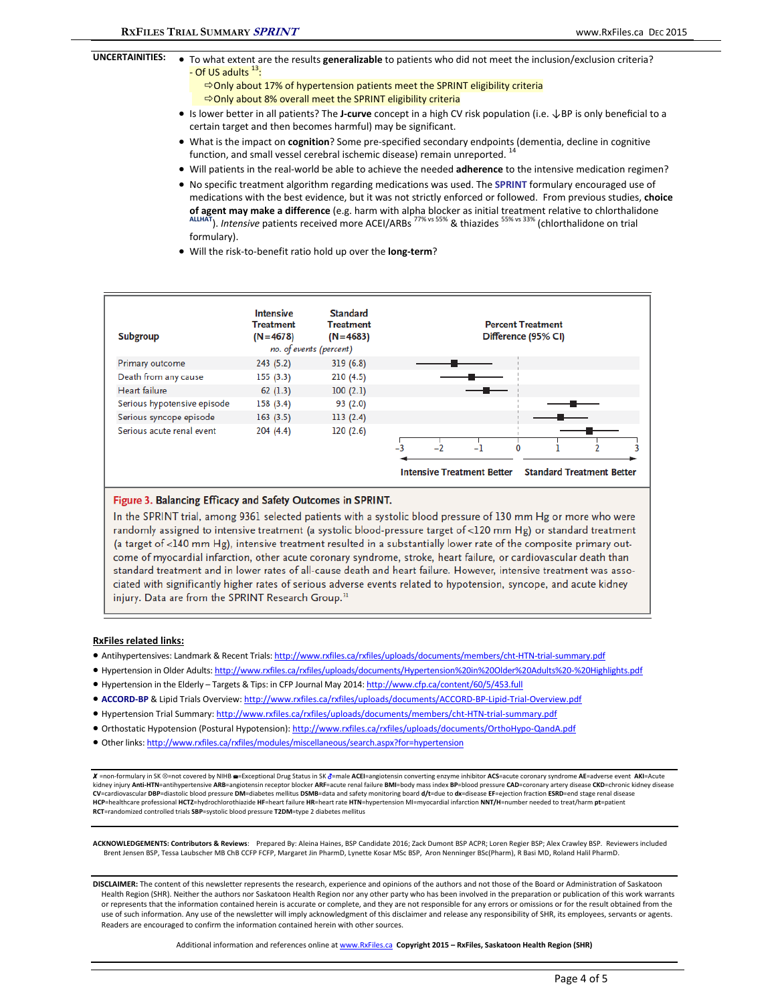- **UNCERTAINITIES:** . To what extent are the results **generalizable** to patients who did not meet the inclusion/exclusion criteria? - Of US adults  $^{13}$ :  $\Rightarrow$  Only about 17% of hypertension patients meet the SPRINT eligibility criteria Only about 8% overall meet the SPRINT eligibility criteria
	- Is lower better in all patients? The **J‐curve** concept in a high CV risk population (i.e. ↓BP is only beneficial to a certain target and then becomes harmful) may be significant.
	- What is the impact on **cognition**? Some pre‐specified secondary endpoints (dementia, decline in cognitive function, and small vessel cerebral ischemic disease) remain unreported.
	- Will patients in the real-world be able to achieve the needed **adherence** to the intensive medication regimen?
	- No specific treatment algorithm regarding medications was used. The **SPRINT** formulary encouraged use of medications with the best evidence, but it was not strictly enforced or followed. From previous studies, **choice** of agent may make a difference (e.g. harm with alpha blocker as initial treatment relative to chlorthalidone  $\frac{\text{ALHAT}}{\text{ALHAT}}$ ). *Intensive* patients received more ACEI/ARBs<sup>77% vs 55%</sup> & thiazides <sup>55% vs 33%</sup> (chlortha formulary).
	- Will the risk‐to‐benefit ratio hold up over the **long‐term**?



#### Figure 3. Balancing Efficacy and Safety Outcomes in SPRINT.

In the SPRINT trial, among 9361 selected patients with a systolic blood pressure of 130 mm Hg or more who were randomly assigned to intensive treatment (a systolic blood-pressure target of <120 mm Hg) or standard treatment (a target of <140 mm Hg), intensive treatment resulted in a substantially lower rate of the composite primary outcome of myocardial infarction, other acute coronary syndrome, stroke, heart failure, or cardiovascular death than standard treatment and in lower rates of all-cause death and heart failure. However, intensive treatment was associated with significantly higher rates of serious adverse events related to hypotension, syncope, and acute kidney injury. Data are from the SPRINT Research Group.<sup>31</sup>

#### **RxFiles related links:**

- Antihypertensives: Landmark & Recent Trials: http://www.rxfiles.ca/rxfiles/uploads/documents/members/cht-HTN-trial-summary.pdf
- Hypertension in Older Adults: http://www.rxfiles.ca/rxfiles/uploads/documents/Hypertension%20in%20Older%20Adults%20-%20Highlights.pdf
- Hypertension in the Elderly Targets & Tips: in CFP Journal May 2014: http://www.cfp.ca/content/60/5/453.full
- **ACCORD‐BP** & Lipid Trials Overview: http://www.rxfiles.ca/rxfiles/uploads/documents/ACCORD‐BP‐Lipid‐Trial‐Overview.pdf
- Hypertension Trial Summary: http://www.rxfiles.ca/rxfiles/uploads/documents/members/cht-HTN-trial-summary.pdf
- Orthostatic Hypotension (Postural Hypotension): http://www.rxfiles.ca/rxfiles/uploads/documents/OrthoHypo-QandA.pdf
- Other links: http://www.rxfiles.ca/rxfiles/modules/miscellaneous/search.aspx?for=hypertension

X =non-formulary in SK <sup>®</sup>=not covered by NIHB <sup>■</sup>=Exceptional Drug Status in SK & male ACEI=angiotensin converting enzyme inhibitor ACS=acute coronary syndrome AE=adverse event AKI=Acute kidney injury Anti-HTN=antihypertensive ARB=angiotensin receptor blocker ARF=acute renal failure BMI=body mass index BP=blood pressure CAD=coronary artery disease CKD=chronic kidney disease<br>CV=cardiovascular DBP=diastolic **HCP**=healthcare professional **HCTZ**=hydrochlorothiazide **HF**=heart failure **HR**=heart rate **HTN**=hypertension MI=myocardial infarction **NNT/H**=number needed to treat/harm **pt**=patient **RCT**=randomized controlled trials **SBP**=systolic blood pressure **T2DM**=type 2 diabetes mellitus

**ACKNOWLEDGEMENTS: Contributors & Reviews**: Prepared By: Aleina Haines, BSP Candidate 2016; Zack Dumont BSP ACPR; Loren Regier BSP; Alex Crawley BSP. Reviewers included Brent Jensen BSP, Tessa Laubscher MB ChB CCFP FCFP, Margaret Jin PharmD, Lynette Kosar MSc BSP, Aron Nenninger BSc(Pharm), R Basi MD, Roland Halil PharmD.

**DISCLAIMER:** The content of this newsletter represents the research, experience and opinions of the authors and not those of the Board or Administration of Saskatoon Health Region (SHR). Neither the authors nor Saskatoon Health Region nor any other party who has been involved in the preparation or publication of this work warrants or represents that the information contained herein is accurate or complete, and they are not responsible for any errors or omissions or for the result obtained from the use of such information. Any use of the newsletter will imply acknowledgment of this disclaimer and release any responsibility of SHR, its employees, servants or agents. Readers are encouraged to confirm the information contained herein with other sources.

Additional information and references online at www.RxFiles.ca **Copyright 2015 – RxFiles, Saskatoon Health Region (SHR)**